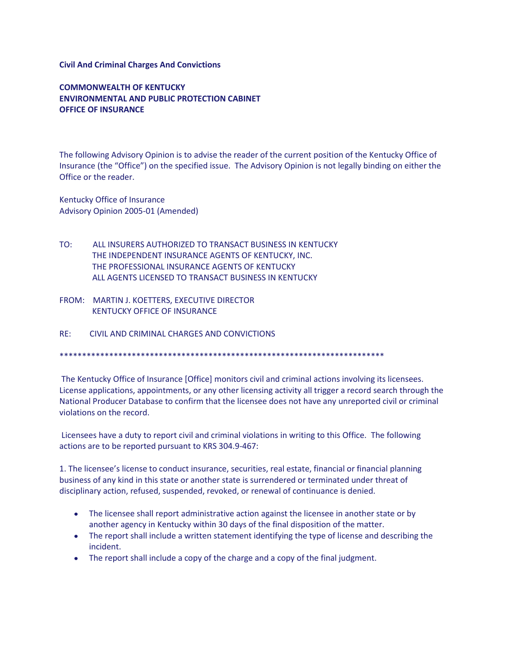## **Civil And Criminal Charges And Convictions**

**COMMONWEALTH OF KENTUCKY ENVIRONMENTAL AND PUBLIC PROTECTION CABINET OFFICE OF INSURANCE**

The following Advisory Opinion is to advise the reader of the current position of the Kentucky Office of Insurance (the "Office") on the specified issue. The Advisory Opinion is not legally binding on either the Office or the reader.

Kentucky Office of Insurance Advisory Opinion 2005-01 (Amended)

- TO: ALL INSURERS AUTHORIZED TO TRANSACT BUSINESS IN KENTUCKY THE INDEPENDENT INSURANCE AGENTS OF KENTUCKY, INC. THE PROFESSIONAL INSURANCE AGENTS OF KENTUCKY ALL AGENTS LICENSED TO TRANSACT BUSINESS IN KENTUCKY
- FROM: MARTIN J. KOETTERS, EXECUTIVE DIRECTOR KENTUCKY OFFICE OF INSURANCE
- RE: CIVIL AND CRIMINAL CHARGES AND CONVICTIONS

\*\*\*\*\*\*\*\*\*\*\*\*\*\*\*\*\*\*\*\*\*\*\*\*\*\*\*\*\*\*\*\*\*\*\*\*\*\*\*\*\*\*\*\*\*\*\*\*\*\*\*\*\*\*\*\*\*\*\*\*\*\*\*\*\*\*\*\*\*\*\*\*

The Kentucky Office of Insurance [Office] monitors civil and criminal actions involving its licensees. License applications, appointments, or any other licensing activity all trigger a record search through the National Producer Database to confirm that the licensee does not have any unreported civil or criminal violations on the record.

Licensees have a duty to report civil and criminal violations in writing to this Office. The following actions are to be reported pursuant to KRS 304.9-467:

1. The licensee's license to conduct insurance, securities, real estate, financial or financial planning business of any kind in this state or another state is surrendered or terminated under threat of disciplinary action, refused, suspended, revoked, or renewal of continuance is denied.

- The licensee shall report administrative action against the licensee in another state or by another agency in Kentucky within 30 days of the final disposition of the matter.
- The report shall include a written statement identifying the type of license and describing the incident.
- The report shall include a copy of the charge and a copy of the final judgment.